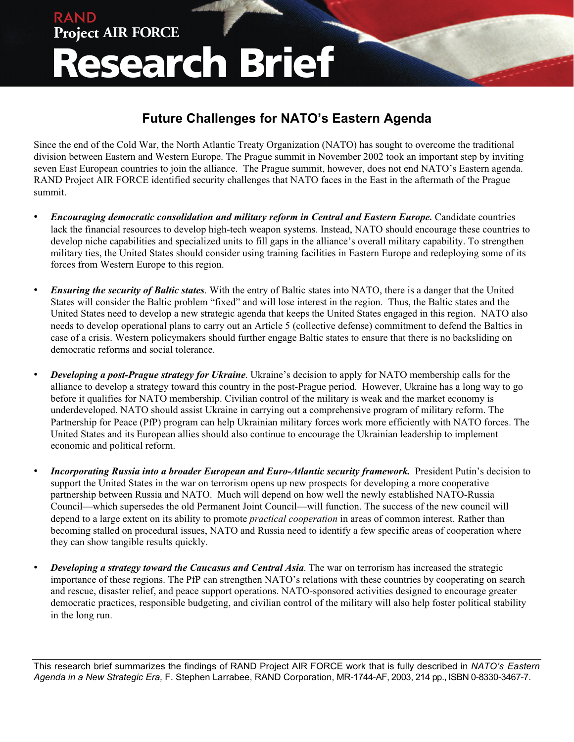## **Project AIR FORCE Research Brief**

RAND

## **Future Challenges for NATO's Eastern Agenda**

Since the end of the Cold War, the North Atlantic Treaty Organization (NATO) has sought to overcome the traditional division between Eastern and Western Europe. The Prague summit in November 2002 took an important step by inviting seven East European countries to join the alliance. The Prague summit, however, does not end NATO's Eastern agenda. RAND Project AIR FORCE identified security challenges that NATO faces in the East in the aftermath of the Prague summit.

- *Encouraging democratic consolidation and military reform in Central and Eastern Europe.* Candidate countries lack the financial resources to develop high-tech weapon systems. Instead, NATO should encourage these countries to develop niche capabilities and specialized units to fill gaps in the alliance's overall military capability. To strengthen military ties, the United States should consider using training facilities in Eastern Europe and redeploying some of its forces from Western Europe to this region.
- *Ensuring the security of Baltic states*. With the entry of Baltic states into NATO, there is a danger that the United States will consider the Baltic problem "fixed" and will lose interest in the region. Thus, the Baltic states and the United States need to develop a new strategic agenda that keeps the United States engaged in this region. NATO also needs to develop operational plans to carry out an Article 5 (collective defense) commitment to defend the Baltics in case of a crisis. Western policymakers should further engage Baltic states to ensure that there is no backsliding on democratic reforms and social tolerance.
- *Developing a post-Prague strategy for Ukraine*. Ukraine's decision to apply for NATO membership calls for the alliance to develop a strategy toward this country in the post-Prague period. However, Ukraine has a long way to go before it qualifies for NATO membership. Civilian control of the military is weak and the market economy is underdeveloped. NATO should assist Ukraine in carrying out a comprehensive program of military reform. The Partnership for Peace (PfP) program can help Ukrainian military forces work more efficiently with NATO forces. The United States and its European allies should also continue to encourage the Ukrainian leadership to implement economic and political reform.
- *Incorporating Russia into a broader European and Euro-Atlantic security framework.* President Putin's decision to support the United States in the war on terrorism opens up new prospects for developing a more cooperative partnership between Russia and NATO. Much will depend on how well the newly established NATO-Russia Council—which supersedes the old Permanent Joint Council—will function. The success of the new council will depend to a large extent on its ability to promote *practical cooperation* in areas of common interest. Rather than becoming stalled on procedural issues, NATO and Russia need to identify a few specific areas of cooperation where they can show tangible results quickly.
- *Developing a strategy toward the Caucasus and Central Asia*. The war on terrorism has increased the strategic importance of these regions. The PfP can strengthen NATO's relations with these countries by cooperating on search and rescue, disaster relief, and peace support operations. NATO-sponsored activities designed to encourage greater democratic practices, responsible budgeting, and civilian control of the military will also help foster political stability in the long run.

This research brief summarizes the findings of RAND Project AIR FORCE work that is fully described in *NATO's Eastern Agenda in a New Strategic Era,* F. Stephen Larrabee, RAND Corporation, MR-1744-AF, 2003, 214 pp., ISBN 0-8330-3467-7.